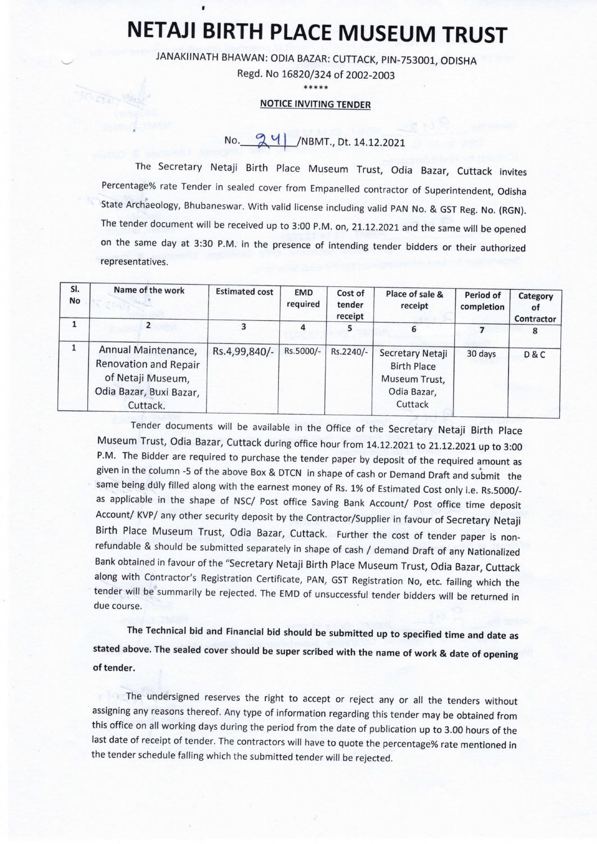## NETAJI BIRTH PLACE MUSEUM TRUST

JANAKIINATH BHAWAN: ODIA BAZAR: CUTTACK, PIN-753001, ODISHA

Regd. No 16820/324 of 2002-2003 \*\*\*\*\*

## NOTICE INVITING TENDER

## No. 24 /NBMT., Dt. 14.12.2021

The Secretary Netaji Birth Place Museum Trust, Odia Bazar, Cuttack invites Percentage% rate Tender in sealed cover from Empanelled contractor of Superintendent, Odisha State Archaeology, Bhubaneswar. With valid license including valid PAN No. & GST Reg. No. (RGN). The tender document will be received up to 3:00 P.M. on, 21.12.2021 and the same will be opened on the same day at 3:30 P.M. in the presence of intending tender bidders or their authorized representatives.

| SI.<br>No | Name of the work                                                                                         | <b>Estimated cost</b> | <b>EMD</b><br>required | Cost of<br>tender<br>receipt | Place of sale &<br>receipt                                                        | Period of<br>completion | Category<br>οt<br>Contractor |
|-----------|----------------------------------------------------------------------------------------------------------|-----------------------|------------------------|------------------------------|-----------------------------------------------------------------------------------|-------------------------|------------------------------|
|           |                                                                                                          | 3                     | 4                      |                              | 6                                                                                 |                         |                              |
|           | Annual Maintenance,<br>Renovation and Repair<br>of Netaji Museum,<br>Odia Bazar, Buxi Bazar,<br>Cuttack. | Rs.4,99,840/-         | Rs.5000/-              | Rs.2240/-                    | Secretary Netaji<br><b>Birth Place</b><br>Museum Trust,<br>Odia Bazar,<br>Cuttack | 30 days                 | D&C                          |

Tender documents will be available in the Office of the Secretary Netaji Birth Place Museum Trust, Odia Bazar, Cuttack during office hour from 14.12.2021 to 21.12.2021 up to 3:00 P.M. The Bidder are required to purchase the tender paper by deposit of the required amount as given in the column -5 of the above Box & DTCN in shape of cash or Demand Draft and submit the same being duly filled along with the earnest money of Rs. 1% of Estimated Cost only i.e. Rs.5000/ as applicable in the shape of NSC/ Post office Saving Bank Account/ Post office time deposit Account/ KVP/ any other security deposit by the Contractor/Supplier in favour of Secretary Netaji Birth Place Museum Trust, Odia Bazar, Cuttack. Further the cost of tender paper is nonrefundable & should be submitted separately in shape of cash / demand Draft of any Nationalized Bank obtained in favour of the "Secretary Netaji Birth Place Museum Trust, Odia Bazar, Cuttack along with Contractor's Registration Certificate, PAN, GST Registration No, etc. failing which the tender will be summarily be rejected. The EMD of unsuccessful tender bidders will be returned in due course.

The Technical bid and Financial bid should be submitted up to specified time and date as stated above. The sealed cover should be super scribed with the name of work & date of opening of tender.

The undersigned reserves the right to accept or reject any or all the tenders without assigning any reasons thereof. Any type of information regarding this tender may be obtained from this office on all working days during the period from the date of publication up to 3.00 hours of the last date of receipt of tender. The contractors will have to quote the percentage% rate mentioned in the tender schedule falling which the submitted tender will be rejected.